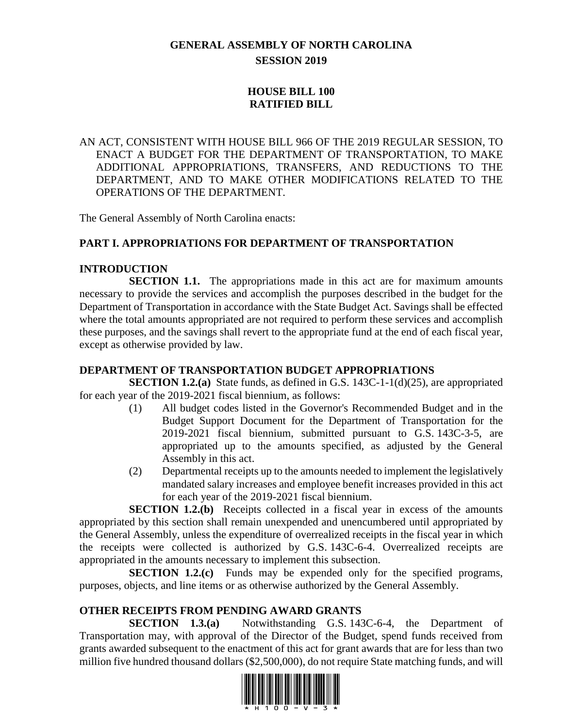# **GENERAL ASSEMBLY OF NORTH CAROLINA SESSION 2019**

# **HOUSE BILL 100 RATIFIED BILL**

AN ACT, CONSISTENT WITH HOUSE BILL 966 OF THE 2019 REGULAR SESSION, TO ENACT A BUDGET FOR THE DEPARTMENT OF TRANSPORTATION, TO MAKE ADDITIONAL APPROPRIATIONS, TRANSFERS, AND REDUCTIONS TO THE DEPARTMENT, AND TO MAKE OTHER MODIFICATIONS RELATED TO THE OPERATIONS OF THE DEPARTMENT.

The General Assembly of North Carolina enacts:

# **PART I. APPROPRIATIONS FOR DEPARTMENT OF TRANSPORTATION**

## **INTRODUCTION**

**SECTION 1.1.** The appropriations made in this act are for maximum amounts necessary to provide the services and accomplish the purposes described in the budget for the Department of Transportation in accordance with the State Budget Act. Savings shall be effected where the total amounts appropriated are not required to perform these services and accomplish these purposes, and the savings shall revert to the appropriate fund at the end of each fiscal year, except as otherwise provided by law.

## **DEPARTMENT OF TRANSPORTATION BUDGET APPROPRIATIONS**

**SECTION 1.2.(a)** State funds, as defined in G.S. 143C-1-1(d)(25), are appropriated for each year of the 2019-2021 fiscal biennium, as follows:

- (1) All budget codes listed in the Governor's Recommended Budget and in the Budget Support Document for the Department of Transportation for the 2019-2021 fiscal biennium, submitted pursuant to G.S. 143C-3-5, are appropriated up to the amounts specified, as adjusted by the General Assembly in this act.
- (2) Departmental receipts up to the amounts needed to implement the legislatively mandated salary increases and employee benefit increases provided in this act for each year of the 2019-2021 fiscal biennium.

**SECTION 1.2.(b)** Receipts collected in a fiscal year in excess of the amounts appropriated by this section shall remain unexpended and unencumbered until appropriated by the General Assembly, unless the expenditure of overrealized receipts in the fiscal year in which the receipts were collected is authorized by G.S. 143C-6-4. Overrealized receipts are appropriated in the amounts necessary to implement this subsection.

**SECTION 1.2.(c)** Funds may be expended only for the specified programs, purposes, objects, and line items or as otherwise authorized by the General Assembly.

## **OTHER RECEIPTS FROM PENDING AWARD GRANTS**

**SECTION 1.3.(a)** Notwithstanding G.S. 143C-6-4, the Department of Transportation may, with approval of the Director of the Budget, spend funds received from grants awarded subsequent to the enactment of this act for grant awards that are for less than two million five hundred thousand dollars (\$2,500,000), do not require State matching funds, and will

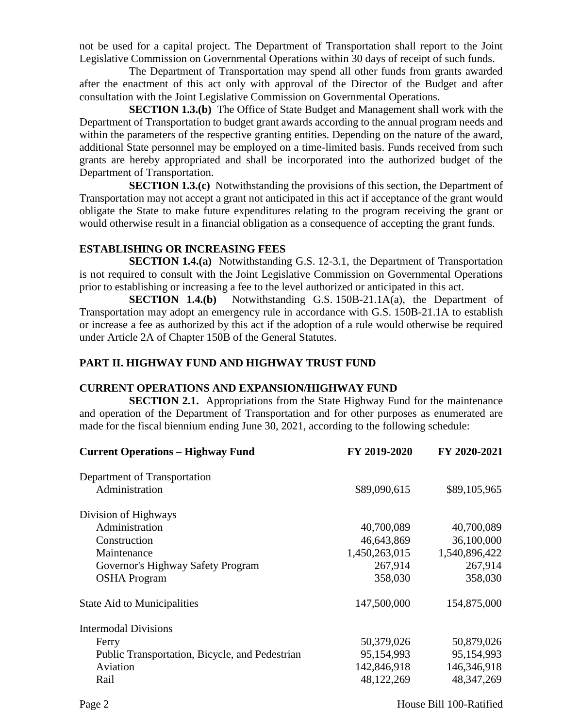not be used for a capital project. The Department of Transportation shall report to the Joint Legislative Commission on Governmental Operations within 30 days of receipt of such funds.

The Department of Transportation may spend all other funds from grants awarded after the enactment of this act only with approval of the Director of the Budget and after consultation with the Joint Legislative Commission on Governmental Operations.

**SECTION 1.3.(b)** The Office of State Budget and Management shall work with the Department of Transportation to budget grant awards according to the annual program needs and within the parameters of the respective granting entities. Depending on the nature of the award, additional State personnel may be employed on a time-limited basis. Funds received from such grants are hereby appropriated and shall be incorporated into the authorized budget of the Department of Transportation.

**SECTION 1.3.(c)** Notwithstanding the provisions of this section, the Department of Transportation may not accept a grant not anticipated in this act if acceptance of the grant would obligate the State to make future expenditures relating to the program receiving the grant or would otherwise result in a financial obligation as a consequence of accepting the grant funds.

## **ESTABLISHING OR INCREASING FEES**

**SECTION 1.4.(a)** Notwithstanding G.S. 12-3.1, the Department of Transportation is not required to consult with the Joint Legislative Commission on Governmental Operations prior to establishing or increasing a fee to the level authorized or anticipated in this act.

**SECTION 1.4.(b)** Notwithstanding G.S. 150B-21.1A(a), the Department of Transportation may adopt an emergency rule in accordance with G.S. 150B-21.1A to establish or increase a fee as authorized by this act if the adoption of a rule would otherwise be required under Article 2A of Chapter 150B of the General Statutes.

## **PART II. HIGHWAY FUND AND HIGHWAY TRUST FUND**

#### **CURRENT OPERATIONS AND EXPANSION/HIGHWAY FUND**

**SECTION 2.1.** Appropriations from the State Highway Fund for the maintenance and operation of the Department of Transportation and for other purposes as enumerated are made for the fiscal biennium ending June 30, 2021, according to the following schedule:

| FY 2019-2020  | FY 2020-2021  |
|---------------|---------------|
|               |               |
| \$89,090,615  | \$89,105,965  |
|               |               |
| 40,700,089    | 40,700,089    |
| 46,643,869    | 36,100,000    |
| 1,450,263,015 | 1,540,896,422 |
| 267,914       | 267,914       |
| 358,030       | 358,030       |
| 147,500,000   | 154,875,000   |
|               |               |
| 50,379,026    | 50,879,026    |
| 95,154,993    | 95,154,993    |
| 142,846,918   | 146,346,918   |
| 48,122,269    | 48, 347, 269  |
|               |               |

Page 2 House Bill 100-Ratified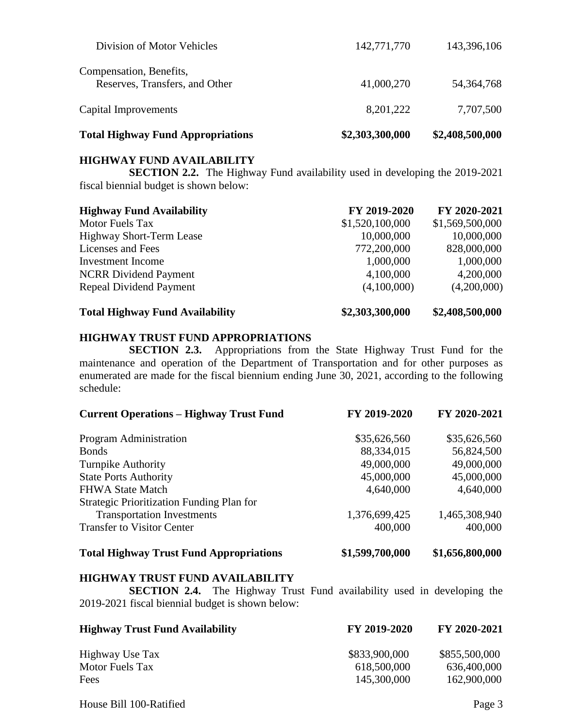| <b>Total Highway Fund Appropriations</b>                  | \$2,303,300,000 | \$2,408,500,000 |
|-----------------------------------------------------------|-----------------|-----------------|
| Capital Improvements                                      | 8, 201, 222     | 7,707,500       |
| Compensation, Benefits,<br>Reserves, Transfers, and Other | 41,000,270      | 54, 364, 768    |
| Division of Motor Vehicles                                | 142,771,770     | 143,396,106     |

## **HIGHWAY FUND AVAILABILITY**

**SECTION 2.2.** The Highway Fund availability used in developing the 2019-2021 fiscal biennial budget is shown below:

| <b>Highway Fund Availability</b> | FY 2019-2020    | FY 2020-2021    |
|----------------------------------|-----------------|-----------------|
| <b>Motor Fuels Tax</b>           | \$1,520,100,000 | \$1,569,500,000 |
| <b>Highway Short-Term Lease</b>  | 10,000,000      | 10,000,000      |
| Licenses and Fees                | 772,200,000     | 828,000,000     |
| Investment Income                | 1,000,000       | 1,000,000       |
| <b>NCRR</b> Dividend Payment     | 4,100,000       | 4,200,000       |
| Repeal Dividend Payment          | (4,100,000)     | (4,200,000)     |
|                                  |                 |                 |

#### **HIGHWAY TRUST FUND APPROPRIATIONS**

**SECTION 2.3.** Appropriations from the State Highway Trust Fund for the maintenance and operation of the Department of Transportation and for other purposes as enumerated are made for the fiscal biennium ending June 30, 2021, according to the following schedule:

| <b>Current Operations - Highway Trust Fund</b> | FY 2019-2020    | FY 2020-2021    |
|------------------------------------------------|-----------------|-----------------|
| Program Administration                         | \$35,626,560    | \$35,626,560    |
| <b>Bonds</b>                                   | 88,334,015      | 56,824,500      |
| Turnpike Authority                             | 49,000,000      | 49,000,000      |
| <b>State Ports Authority</b>                   | 45,000,000      | 45,000,000      |
| <b>FHWA State Match</b>                        | 4,640,000       | 4,640,000       |
| Strategic Prioritization Funding Plan for      |                 |                 |
| <b>Transportation Investments</b>              | 1,376,699,425   | 1,465,308,940   |
| <b>Transfer to Visitor Center</b>              | 400,000         | 400,000         |
| <b>Total Highway Trust Fund Appropriations</b> | \$1,599,700,000 | \$1,656,800,000 |

#### **HIGHWAY TRUST FUND AVAILABILITY**

**SECTION 2.4.** The Highway Trust Fund availability used in developing the 2019-2021 fiscal biennial budget is shown below:

| <b>Highway Trust Fund Availability</b> | FY 2019-2020  | FY 2020-2021  |
|----------------------------------------|---------------|---------------|
| Highway Use Tax                        | \$833,900,000 | \$855,500,000 |
| Motor Fuels Tax                        | 618,500,000   | 636,400,000   |
| Fees                                   | 145,300,000   | 162,900,000   |

House Bill 100-Ratified Page 3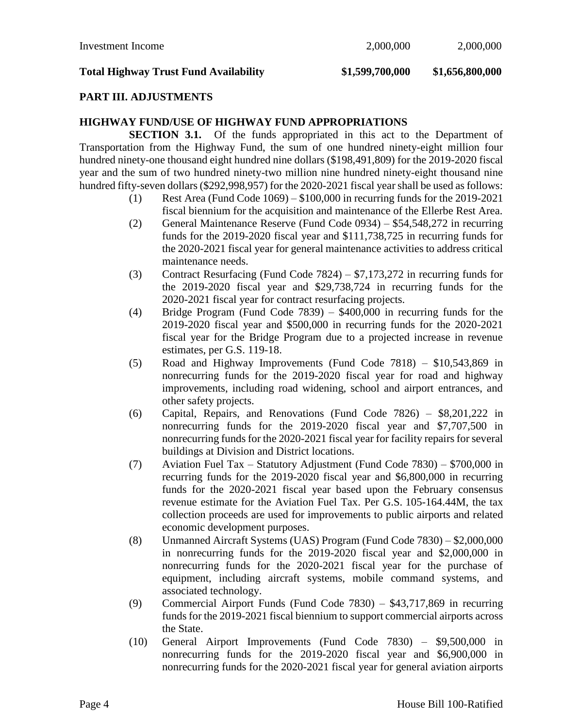#### **PART III. ADJUSTMENTS**

#### **HIGHWAY FUND/USE OF HIGHWAY FUND APPROPRIATIONS**

**SECTION 3.1.** Of the funds appropriated in this act to the Department of Transportation from the Highway Fund, the sum of one hundred ninety-eight million four hundred ninety-one thousand eight hundred nine dollars (\$198,491,809) for the 2019-2020 fiscal year and the sum of two hundred ninety-two million nine hundred ninety-eight thousand nine hundred fifty-seven dollars (\$292,998,957) for the 2020-2021 fiscal year shall be used as follows:

- (1) Rest Area (Fund Code  $1069$ ) \$100,000 in recurring funds for the 2019-2021 fiscal biennium for the acquisition and maintenance of the Ellerbe Rest Area.
- (2) General Maintenance Reserve (Fund Code 0934) \$54,548,272 in recurring funds for the 2019-2020 fiscal year and \$111,738,725 in recurring funds for the 2020-2021 fiscal year for general maintenance activities to address critical maintenance needs.
- (3) Contract Resurfacing (Fund Code 7824) \$7,173,272 in recurring funds for the 2019-2020 fiscal year and \$29,738,724 in recurring funds for the 2020-2021 fiscal year for contract resurfacing projects.
- (4) Bridge Program (Fund Code 7839) \$400,000 in recurring funds for the 2019-2020 fiscal year and \$500,000 in recurring funds for the 2020-2021 fiscal year for the Bridge Program due to a projected increase in revenue estimates, per G.S. 119-18.
- (5) Road and Highway Improvements (Fund Code 7818) \$10,543,869 in nonrecurring funds for the 2019-2020 fiscal year for road and highway improvements, including road widening, school and airport entrances, and other safety projects.
- (6) Capital, Repairs, and Renovations (Fund Code 7826) \$8,201,222 in nonrecurring funds for the 2019-2020 fiscal year and \$7,707,500 in nonrecurring funds for the 2020-2021 fiscal year for facility repairs for several buildings at Division and District locations.
- (7) Aviation Fuel Tax Statutory Adjustment (Fund Code 7830) \$700,000 in recurring funds for the 2019-2020 fiscal year and \$6,800,000 in recurring funds for the 2020-2021 fiscal year based upon the February consensus revenue estimate for the Aviation Fuel Tax. Per G.S. 105-164.44M, the tax collection proceeds are used for improvements to public airports and related economic development purposes.
- (8) Unmanned Aircraft Systems (UAS) Program (Fund Code 7830) \$2,000,000 in nonrecurring funds for the 2019-2020 fiscal year and \$2,000,000 in nonrecurring funds for the 2020-2021 fiscal year for the purchase of equipment, including aircraft systems, mobile command systems, and associated technology.
- (9) Commercial Airport Funds (Fund Code 7830) \$43,717,869 in recurring funds for the 2019-2021 fiscal biennium to support commercial airports across the State.
- (10) General Airport Improvements (Fund Code 7830) \$9,500,000 in nonrecurring funds for the 2019-2020 fiscal year and \$6,900,000 in nonrecurring funds for the 2020-2021 fiscal year for general aviation airports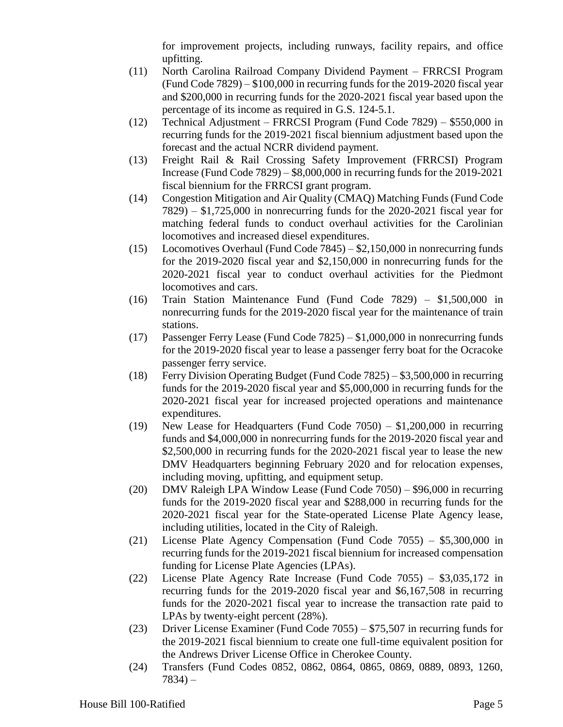for improvement projects, including runways, facility repairs, and office upfitting.

- (11) North Carolina Railroad Company Dividend Payment FRRCSI Program (Fund Code 7829) – \$100,000 in recurring funds for the 2019-2020 fiscal year and \$200,000 in recurring funds for the 2020-2021 fiscal year based upon the percentage of its income as required in G.S. 124-5.1.
- (12) Technical Adjustment FRRCSI Program (Fund Code 7829) \$550,000 in recurring funds for the 2019-2021 fiscal biennium adjustment based upon the forecast and the actual NCRR dividend payment.
- (13) Freight Rail & Rail Crossing Safety Improvement (FRRCSI) Program Increase (Fund Code 7829) – \$8,000,000 in recurring funds for the 2019-2021 fiscal biennium for the FRRCSI grant program.
- (14) Congestion Mitigation and Air Quality (CMAQ) Matching Funds (Fund Code 7829) – \$1,725,000 in nonrecurring funds for the 2020-2021 fiscal year for matching federal funds to conduct overhaul activities for the Carolinian locomotives and increased diesel expenditures.
- (15) Locomotives Overhaul (Fund Code 7845) \$2,150,000 in nonrecurring funds for the 2019-2020 fiscal year and \$2,150,000 in nonrecurring funds for the 2020-2021 fiscal year to conduct overhaul activities for the Piedmont locomotives and cars.
- (16) Train Station Maintenance Fund (Fund Code 7829) \$1,500,000 in nonrecurring funds for the 2019-2020 fiscal year for the maintenance of train stations.
- (17) Passenger Ferry Lease (Fund Code 7825) \$1,000,000 in nonrecurring funds for the 2019-2020 fiscal year to lease a passenger ferry boat for the Ocracoke passenger ferry service.
- (18) Ferry Division Operating Budget (Fund Code 7825) \$3,500,000 in recurring funds for the 2019-2020 fiscal year and \$5,000,000 in recurring funds for the 2020-2021 fiscal year for increased projected operations and maintenance expenditures.
- (19) New Lease for Headquarters (Fund Code 7050) \$1,200,000 in recurring funds and \$4,000,000 in nonrecurring funds for the 2019-2020 fiscal year and \$2,500,000 in recurring funds for the 2020-2021 fiscal year to lease the new DMV Headquarters beginning February 2020 and for relocation expenses, including moving, upfitting, and equipment setup.
- (20) DMV Raleigh LPA Window Lease (Fund Code 7050) \$96,000 in recurring funds for the 2019-2020 fiscal year and \$288,000 in recurring funds for the 2020-2021 fiscal year for the State-operated License Plate Agency lease, including utilities, located in the City of Raleigh.
- (21) License Plate Agency Compensation (Fund Code 7055) \$5,300,000 in recurring funds for the 2019-2021 fiscal biennium for increased compensation funding for License Plate Agencies (LPAs).
- (22) License Plate Agency Rate Increase (Fund Code 7055) \$3,035,172 in recurring funds for the 2019-2020 fiscal year and \$6,167,508 in recurring funds for the 2020-2021 fiscal year to increase the transaction rate paid to LPAs by twenty-eight percent (28%).
- (23) Driver License Examiner (Fund Code 7055) \$75,507 in recurring funds for the 2019-2021 fiscal biennium to create one full-time equivalent position for the Andrews Driver License Office in Cherokee County.
- (24) Transfers (Fund Codes 0852, 0862, 0864, 0865, 0869, 0889, 0893, 1260,  $7834 -$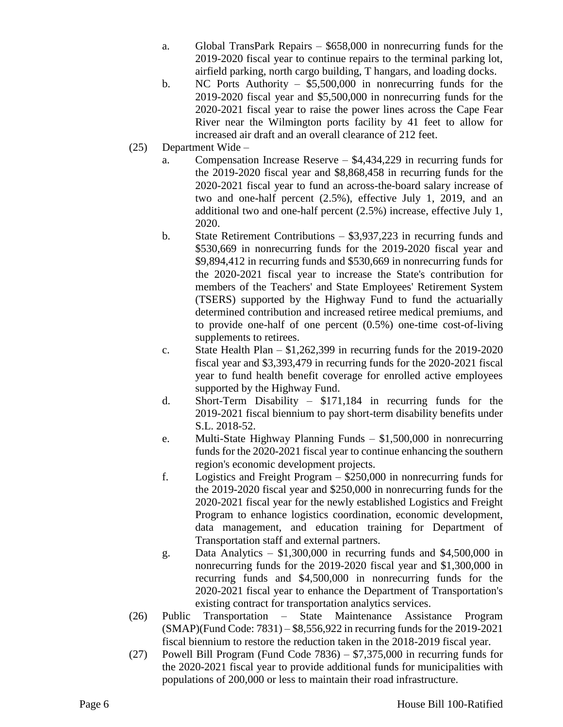- a. Global TransPark Repairs \$658,000 in nonrecurring funds for the 2019-2020 fiscal year to continue repairs to the terminal parking lot, airfield parking, north cargo building, T hangars, and loading docks.
- b. NC Ports Authority \$5,500,000 in nonrecurring funds for the 2019-2020 fiscal year and \$5,500,000 in nonrecurring funds for the 2020-2021 fiscal year to raise the power lines across the Cape Fear River near the Wilmington ports facility by 41 feet to allow for increased air draft and an overall clearance of 212 feet.
- (25) Department Wide
	- a. Compensation Increase Reserve \$4,434,229 in recurring funds for the 2019-2020 fiscal year and \$8,868,458 in recurring funds for the 2020-2021 fiscal year to fund an across-the-board salary increase of two and one-half percent (2.5%), effective July 1, 2019, and an additional two and one-half percent (2.5%) increase, effective July 1, 2020.
	- b. State Retirement Contributions \$3,937,223 in recurring funds and \$530,669 in nonrecurring funds for the 2019-2020 fiscal year and \$9,894,412 in recurring funds and \$530,669 in nonrecurring funds for the 2020-2021 fiscal year to increase the State's contribution for members of the Teachers' and State Employees' Retirement System (TSERS) supported by the Highway Fund to fund the actuarially determined contribution and increased retiree medical premiums, and to provide one-half of one percent (0.5%) one-time cost-of-living supplements to retirees.
	- c. State Health Plan  $$1,262,399$  in recurring funds for the 2019-2020 fiscal year and \$3,393,479 in recurring funds for the 2020-2021 fiscal year to fund health benefit coverage for enrolled active employees supported by the Highway Fund.
	- d. Short-Term Disability \$171,184 in recurring funds for the 2019-2021 fiscal biennium to pay short-term disability benefits under S.L. 2018-52.
	- e. Multi-State Highway Planning Funds \$1,500,000 in nonrecurring funds for the 2020-2021 fiscal year to continue enhancing the southern region's economic development projects.
	- f. Logistics and Freight Program \$250,000 in nonrecurring funds for the 2019-2020 fiscal year and \$250,000 in nonrecurring funds for the 2020-2021 fiscal year for the newly established Logistics and Freight Program to enhance logistics coordination, economic development, data management, and education training for Department of Transportation staff and external partners.
	- g. Data Analytics \$1,300,000 in recurring funds and \$4,500,000 in nonrecurring funds for the 2019-2020 fiscal year and \$1,300,000 in recurring funds and \$4,500,000 in nonrecurring funds for the 2020-2021 fiscal year to enhance the Department of Transportation's existing contract for transportation analytics services.
- (26) Public Transportation State Maintenance Assistance Program (SMAP)(Fund Code: 7831) – \$8,556,922 in recurring funds for the 2019-2021 fiscal biennium to restore the reduction taken in the 2018-2019 fiscal year.
- (27) Powell Bill Program (Fund Code 7836) \$7,375,000 in recurring funds for the 2020-2021 fiscal year to provide additional funds for municipalities with populations of 200,000 or less to maintain their road infrastructure.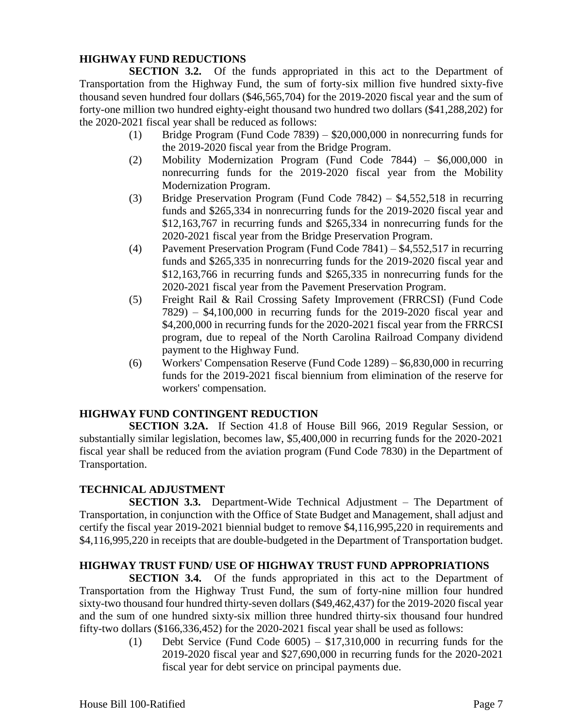## **HIGHWAY FUND REDUCTIONS**

**SECTION 3.2.** Of the funds appropriated in this act to the Department of Transportation from the Highway Fund, the sum of forty-six million five hundred sixty-five thousand seven hundred four dollars (\$46,565,704) for the 2019-2020 fiscal year and the sum of forty-one million two hundred eighty-eight thousand two hundred two dollars (\$41,288,202) for the 2020-2021 fiscal year shall be reduced as follows:

- (1) Bridge Program (Fund Code 7839) \$20,000,000 in nonrecurring funds for the 2019-2020 fiscal year from the Bridge Program.
- (2) Mobility Modernization Program (Fund Code 7844) \$6,000,000 in nonrecurring funds for the 2019-2020 fiscal year from the Mobility Modernization Program.
- (3) Bridge Preservation Program (Fund Code 7842) \$4,552,518 in recurring funds and \$265,334 in nonrecurring funds for the 2019-2020 fiscal year and \$12,163,767 in recurring funds and \$265,334 in nonrecurring funds for the 2020-2021 fiscal year from the Bridge Preservation Program.
- (4) Pavement Preservation Program (Fund Code 7841) \$4,552,517 in recurring funds and \$265,335 in nonrecurring funds for the 2019-2020 fiscal year and \$12,163,766 in recurring funds and \$265,335 in nonrecurring funds for the 2020-2021 fiscal year from the Pavement Preservation Program.
- (5) Freight Rail & Rail Crossing Safety Improvement (FRRCSI) (Fund Code 7829) – \$4,100,000 in recurring funds for the 2019-2020 fiscal year and \$4,200,000 in recurring funds for the 2020-2021 fiscal year from the FRRCSI program, due to repeal of the North Carolina Railroad Company dividend payment to the Highway Fund.
- (6) Workers' Compensation Reserve (Fund Code 1289) \$6,830,000 in recurring funds for the 2019-2021 fiscal biennium from elimination of the reserve for workers' compensation.

## **HIGHWAY FUND CONTINGENT REDUCTION**

**SECTION 3.2A.** If Section 41.8 of House Bill 966, 2019 Regular Session, or substantially similar legislation, becomes law, \$5,400,000 in recurring funds for the 2020-2021 fiscal year shall be reduced from the aviation program (Fund Code 7830) in the Department of Transportation.

## **TECHNICAL ADJUSTMENT**

**SECTION 3.3.** Department-Wide Technical Adjustment – The Department of Transportation, in conjunction with the Office of State Budget and Management, shall adjust and certify the fiscal year 2019-2021 biennial budget to remove \$4,116,995,220 in requirements and \$4,116,995,220 in receipts that are double-budgeted in the Department of Transportation budget.

# **HIGHWAY TRUST FUND/ USE OF HIGHWAY TRUST FUND APPROPRIATIONS**

**SECTION 3.4.** Of the funds appropriated in this act to the Department of Transportation from the Highway Trust Fund, the sum of forty-nine million four hundred sixty-two thousand four hundred thirty-seven dollars (\$49,462,437) for the 2019-2020 fiscal year and the sum of one hundred sixty-six million three hundred thirty-six thousand four hundred fifty-two dollars (\$166,336,452) for the 2020-2021 fiscal year shall be used as follows:

(1) Debt Service (Fund Code  $6005$ ) – \$17,310,000 in recurring funds for the 2019-2020 fiscal year and \$27,690,000 in recurring funds for the 2020-2021 fiscal year for debt service on principal payments due.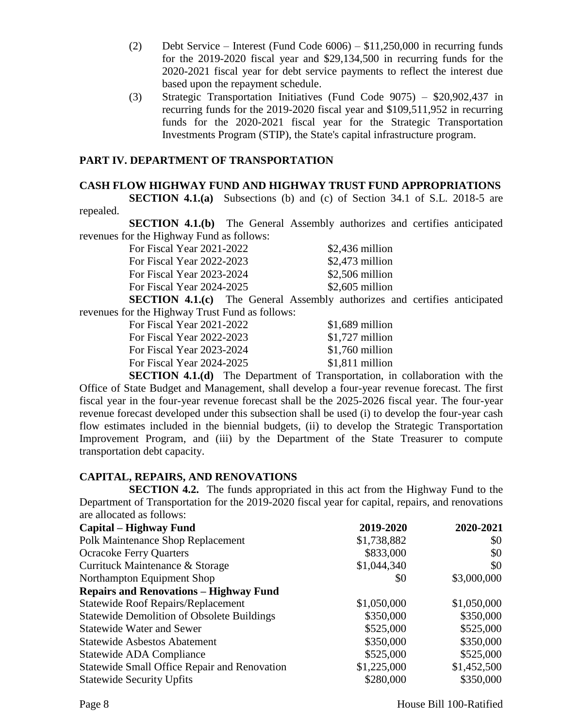- (2) Debt Service Interest (Fund Code 6006) \$11,250,000 in recurring funds for the 2019-2020 fiscal year and \$29,134,500 in recurring funds for the 2020-2021 fiscal year for debt service payments to reflect the interest due based upon the repayment schedule.
- (3) Strategic Transportation Initiatives (Fund Code 9075) \$20,902,437 in recurring funds for the 2019-2020 fiscal year and \$109,511,952 in recurring funds for the 2020-2021 fiscal year for the Strategic Transportation Investments Program (STIP), the State's capital infrastructure program.

## **PART IV. DEPARTMENT OF TRANSPORTATION**

#### **CASH FLOW HIGHWAY FUND AND HIGHWAY TRUST FUND APPROPRIATIONS**

**SECTION 4.1.(a)** Subsections (b) and (c) of Section 34.1 of S.L. 2018-5 are repealed.

**SECTION 4.1.(b)** The General Assembly authorizes and certifies anticipated revenues for the Highway Fund as follows:

| $$2,436$ million |
|------------------|
| $$2,473$ million |
| \$2,506 million  |
| $$2,605$ million |
|                  |

**SECTION 4.1.(c)** The General Assembly authorizes and certifies anticipated revenues for the Highway Trust Fund as follows:

| For Fiscal Year 2021-2022 | $$1,689$ million |
|---------------------------|------------------|
| For Fiscal Year 2022-2023 | $$1,727$ million |
| For Fiscal Year 2023-2024 | $$1,760$ million |
| For Fiscal Year 2024-2025 | $$1,811$ million |
|                           |                  |

**SECTION 4.1.(d)** The Department of Transportation, in collaboration with the Office of State Budget and Management, shall develop a four-year revenue forecast. The first fiscal year in the four-year revenue forecast shall be the 2025-2026 fiscal year. The four-year revenue forecast developed under this subsection shall be used (i) to develop the four-year cash flow estimates included in the biennial budgets, (ii) to develop the Strategic Transportation Improvement Program, and (iii) by the Department of the State Treasurer to compute transportation debt capacity.

## **CAPITAL, REPAIRS, AND RENOVATIONS**

**SECTION 4.2.** The funds appropriated in this act from the Highway Fund to the Department of Transportation for the 2019-2020 fiscal year for capital, repairs, and renovations are allocated as follows:

| <b>Capital – Highway Fund</b>                     | 2019-2020   | 2020-2021   |
|---------------------------------------------------|-------------|-------------|
| <b>Polk Maintenance Shop Replacement</b>          | \$1,738,882 | \$0         |
| <b>Ocracoke Ferry Quarters</b>                    | \$833,000   | \$0         |
| Currituck Maintenance & Storage                   | \$1,044,340 | \$0         |
| Northampton Equipment Shop                        | \$0         | \$3,000,000 |
| <b>Repairs and Renovations - Highway Fund</b>     |             |             |
| <b>Statewide Roof Repairs/Replacement</b>         | \$1,050,000 | \$1,050,000 |
| <b>Statewide Demolition of Obsolete Buildings</b> | \$350,000   | \$350,000   |
| <b>Statewide Water and Sewer</b>                  | \$525,000   | \$525,000   |
| <b>Statewide Asbestos Abatement</b>               | \$350,000   | \$350,000   |
| Statewide ADA Compliance                          | \$525,000   | \$525,000   |
| Statewide Small Office Repair and Renovation      | \$1,225,000 | \$1,452,500 |
| <b>Statewide Security Upfits</b>                  | \$280,000   | \$350,000   |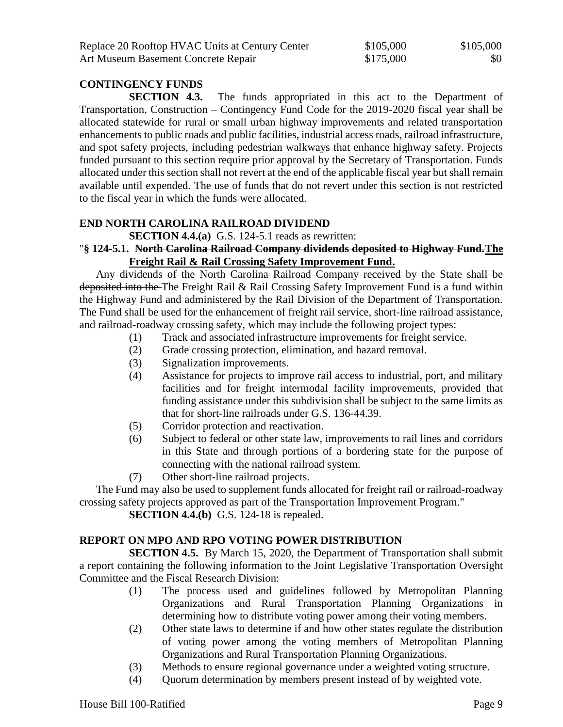| Replace 20 Rooftop HVAC Units at Century Center | \$105,000 | \$105,000 |
|-------------------------------------------------|-----------|-----------|
| Art Museum Basement Concrete Repair             | \$175,000 | \$0       |

## **CONTINGENCY FUNDS**

**SECTION 4.3.** The funds appropriated in this act to the Department of Transportation, Construction – Contingency Fund Code for the 2019-2020 fiscal year shall be allocated statewide for rural or small urban highway improvements and related transportation enhancements to public roads and public facilities, industrial access roads, railroad infrastructure, and spot safety projects, including pedestrian walkways that enhance highway safety. Projects funded pursuant to this section require prior approval by the Secretary of Transportation. Funds allocated under this section shall not revert at the end of the applicable fiscal year but shall remain available until expended. The use of funds that do not revert under this section is not restricted to the fiscal year in which the funds were allocated.

## **END NORTH CAROLINA RAILROAD DIVIDEND**

**SECTION 4.4.(a)** G.S. 124-5.1 reads as rewritten:

#### "**§ 124-5.1. North Carolina Railroad Company dividends deposited to Highway Fund.The Freight Rail & Rail Crossing Safety Improvement Fund.**

Any dividends of the North Carolina Railroad Company received by the State shall be deposited into the The Freight Rail & Rail Crossing Safety Improvement Fund is a fund within the Highway Fund and administered by the Rail Division of the Department of Transportation. The Fund shall be used for the enhancement of freight rail service, short-line railroad assistance, and railroad-roadway crossing safety, which may include the following project types:

- (1) Track and associated infrastructure improvements for freight service.
- (2) Grade crossing protection, elimination, and hazard removal.
- (3) Signalization improvements.
- (4) Assistance for projects to improve rail access to industrial, port, and military facilities and for freight intermodal facility improvements, provided that funding assistance under this subdivision shall be subject to the same limits as that for short-line railroads under G.S. 136-44.39.
- (5) Corridor protection and reactivation.
- (6) Subject to federal or other state law, improvements to rail lines and corridors in this State and through portions of a bordering state for the purpose of connecting with the national railroad system.
- (7) Other short-line railroad projects.

The Fund may also be used to supplement funds allocated for freight rail or railroad-roadway crossing safety projects approved as part of the Transportation Improvement Program."

**SECTION 4.4.(b)** G.S. 124-18 is repealed.

## **REPORT ON MPO AND RPO VOTING POWER DISTRIBUTION**

**SECTION 4.5.** By March 15, 2020, the Department of Transportation shall submit a report containing the following information to the Joint Legislative Transportation Oversight Committee and the Fiscal Research Division:

- (1) The process used and guidelines followed by Metropolitan Planning Organizations and Rural Transportation Planning Organizations in determining how to distribute voting power among their voting members.
- (2) Other state laws to determine if and how other states regulate the distribution of voting power among the voting members of Metropolitan Planning Organizations and Rural Transportation Planning Organizations.
- (3) Methods to ensure regional governance under a weighted voting structure.
- (4) Quorum determination by members present instead of by weighted vote.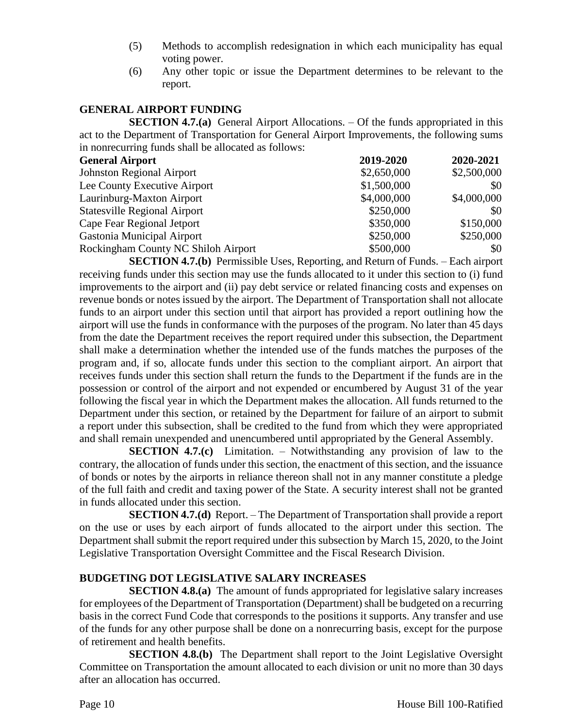- (5) Methods to accomplish redesignation in which each municipality has equal voting power.
- (6) Any other topic or issue the Department determines to be relevant to the report.

## **GENERAL AIRPORT FUNDING**

**SECTION 4.7.(a)** General Airport Allocations. – Of the funds appropriated in this act to the Department of Transportation for General Airport Improvements, the following sums in nonrecurring funds shall be allocated as follows:

| <b>General Airport</b>              | 2019-2020   | 2020-2021   |
|-------------------------------------|-------------|-------------|
| <b>Johnston Regional Airport</b>    | \$2,650,000 | \$2,500,000 |
| Lee County Executive Airport        | \$1,500,000 | \$0         |
| Laurinburg-Maxton Airport           | \$4,000,000 | \$4,000,000 |
| <b>Statesville Regional Airport</b> | \$250,000   | \$0         |
| Cape Fear Regional Jetport          | \$350,000   | \$150,000   |
| Gastonia Municipal Airport          | \$250,000   | \$250,000   |
| Rockingham County NC Shiloh Airport | \$500,000   | \$0         |

**SECTION 4.7.(b)** Permissible Uses, Reporting, and Return of Funds. – Each airport receiving funds under this section may use the funds allocated to it under this section to (i) fund improvements to the airport and (ii) pay debt service or related financing costs and expenses on revenue bonds or notes issued by the airport. The Department of Transportation shall not allocate funds to an airport under this section until that airport has provided a report outlining how the airport will use the funds in conformance with the purposes of the program. No later than 45 days from the date the Department receives the report required under this subsection, the Department shall make a determination whether the intended use of the funds matches the purposes of the program and, if so, allocate funds under this section to the compliant airport. An airport that receives funds under this section shall return the funds to the Department if the funds are in the possession or control of the airport and not expended or encumbered by August 31 of the year following the fiscal year in which the Department makes the allocation. All funds returned to the Department under this section, or retained by the Department for failure of an airport to submit a report under this subsection, shall be credited to the fund from which they were appropriated and shall remain unexpended and unencumbered until appropriated by the General Assembly.

**SECTION 4.7.(c)** Limitation. – Notwithstanding any provision of law to the contrary, the allocation of funds under this section, the enactment of this section, and the issuance of bonds or notes by the airports in reliance thereon shall not in any manner constitute a pledge of the full faith and credit and taxing power of the State. A security interest shall not be granted in funds allocated under this section.

**SECTION 4.7.(d)** Report. – The Department of Transportation shall provide a report on the use or uses by each airport of funds allocated to the airport under this section. The Department shall submit the report required under this subsection by March 15, 2020, to the Joint Legislative Transportation Oversight Committee and the Fiscal Research Division.

## **BUDGETING DOT LEGISLATIVE SALARY INCREASES**

**SECTION 4.8.(a)** The amount of funds appropriated for legislative salary increases for employees of the Department of Transportation (Department) shall be budgeted on a recurring basis in the correct Fund Code that corresponds to the positions it supports. Any transfer and use of the funds for any other purpose shall be done on a nonrecurring basis, except for the purpose of retirement and health benefits.

**SECTION 4.8.(b)** The Department shall report to the Joint Legislative Oversight Committee on Transportation the amount allocated to each division or unit no more than 30 days after an allocation has occurred.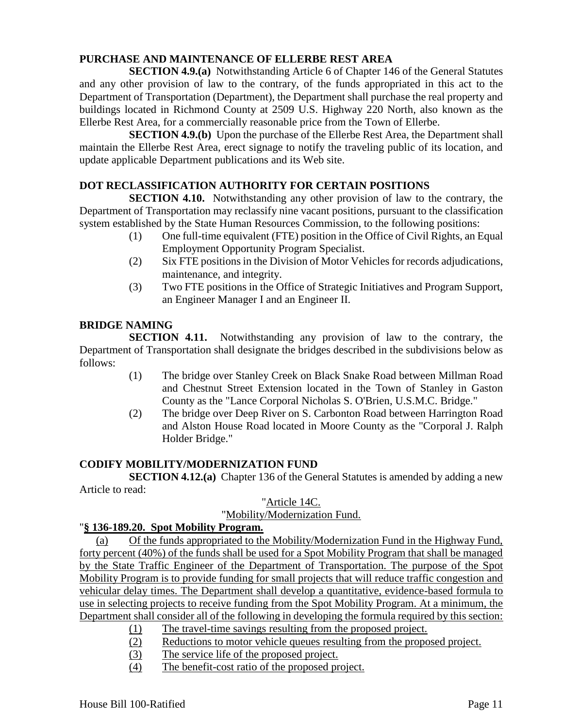# **PURCHASE AND MAINTENANCE OF ELLERBE REST AREA**

**SECTION 4.9.(a)** Notwithstanding Article 6 of Chapter 146 of the General Statutes and any other provision of law to the contrary, of the funds appropriated in this act to the Department of Transportation (Department), the Department shall purchase the real property and buildings located in Richmond County at 2509 U.S. Highway 220 North, also known as the Ellerbe Rest Area, for a commercially reasonable price from the Town of Ellerbe.

**SECTION 4.9.(b)** Upon the purchase of the Ellerbe Rest Area, the Department shall maintain the Ellerbe Rest Area, erect signage to notify the traveling public of its location, and update applicable Department publications and its Web site.

## **DOT RECLASSIFICATION AUTHORITY FOR CERTAIN POSITIONS**

**SECTION 4.10.** Notwithstanding any other provision of law to the contrary, the Department of Transportation may reclassify nine vacant positions, pursuant to the classification system established by the State Human Resources Commission, to the following positions:

- (1) One full-time equivalent (FTE) position in the Office of Civil Rights, an Equal Employment Opportunity Program Specialist.
- (2) Six FTE positions in the Division of Motor Vehicles for records adjudications, maintenance, and integrity.
- (3) Two FTE positions in the Office of Strategic Initiatives and Program Support, an Engineer Manager I and an Engineer II.

## **BRIDGE NAMING**

**SECTION 4.11.** Notwithstanding any provision of law to the contrary, the Department of Transportation shall designate the bridges described in the subdivisions below as follows:

- (1) The bridge over Stanley Creek on Black Snake Road between Millman Road and Chestnut Street Extension located in the Town of Stanley in Gaston County as the "Lance Corporal Nicholas S. O'Brien, U.S.M.C. Bridge."
- (2) The bridge over Deep River on S. Carbonton Road between Harrington Road and Alston House Road located in Moore County as the "Corporal J. Ralph Holder Bridge."

## **CODIFY MOBILITY/MODERNIZATION FUND**

**SECTION 4.12.(a)** Chapter 136 of the General Statutes is amended by adding a new Article to read:

## "Article 14C.

## "Mobility/Modernization Fund.

## "**§ 136-189.20. Spot Mobility Program.**

(a) Of the funds appropriated to the Mobility/Modernization Fund in the Highway Fund, forty percent (40%) of the funds shall be used for a Spot Mobility Program that shall be managed by the State Traffic Engineer of the Department of Transportation. The purpose of the Spot Mobility Program is to provide funding for small projects that will reduce traffic congestion and vehicular delay times. The Department shall develop a quantitative, evidence-based formula to use in selecting projects to receive funding from the Spot Mobility Program. At a minimum, the Department shall consider all of the following in developing the formula required by this section:

- (1) The travel-time savings resulting from the proposed project.
- (2) Reductions to motor vehicle queues resulting from the proposed project.
- (3) The service life of the proposed project.
- (4) The benefit-cost ratio of the proposed project.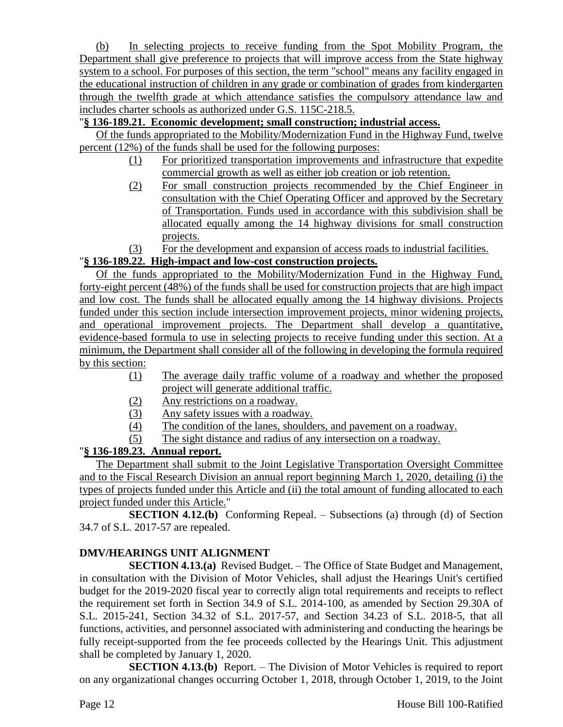(b) In selecting projects to receive funding from the Spot Mobility Program, the Department shall give preference to projects that will improve access from the State highway system to a school. For purposes of this section, the term "school" means any facility engaged in the educational instruction of children in any grade or combination of grades from kindergarten through the twelfth grade at which attendance satisfies the compulsory attendance law and includes charter schools as authorized under G.S. 115C-218.5.

# "**§ 136-189.21. Economic development; small construction; industrial access.**

Of the funds appropriated to the Mobility/Modernization Fund in the Highway Fund, twelve percent (12%) of the funds shall be used for the following purposes:

- (1) For prioritized transportation improvements and infrastructure that expedite commercial growth as well as either job creation or job retention.
- (2) For small construction projects recommended by the Chief Engineer in consultation with the Chief Operating Officer and approved by the Secretary of Transportation. Funds used in accordance with this subdivision shall be allocated equally among the 14 highway divisions for small construction projects.
- (3) For the development and expansion of access roads to industrial facilities.

# "**§ 136-189.22. High-impact and low-cost construction projects.**

Of the funds appropriated to the Mobility/Modernization Fund in the Highway Fund, forty-eight percent (48%) of the funds shall be used for construction projects that are high impact and low cost. The funds shall be allocated equally among the 14 highway divisions. Projects funded under this section include intersection improvement projects, minor widening projects, and operational improvement projects. The Department shall develop a quantitative, evidence-based formula to use in selecting projects to receive funding under this section. At a minimum, the Department shall consider all of the following in developing the formula required by this section:

- (1) The average daily traffic volume of a roadway and whether the proposed project will generate additional traffic.
- (2) Any restrictions on a roadway.
- (3) Any safety issues with a roadway.
- (4) The condition of the lanes, shoulders, and pavement on a roadway.
- (5) The sight distance and radius of any intersection on a roadway.

# "**§ 136-189.23. Annual report.**

The Department shall submit to the Joint Legislative Transportation Oversight Committee and to the Fiscal Research Division an annual report beginning March 1, 2020, detailing (i) the types of projects funded under this Article and (ii) the total amount of funding allocated to each project funded under this Article."

**SECTION 4.12.(b)** Conforming Repeal. – Subsections (a) through (d) of Section 34.7 of S.L. 2017-57 are repealed.

# **DMV/HEARINGS UNIT ALIGNMENT**

**SECTION 4.13.(a)** Revised Budget. – The Office of State Budget and Management, in consultation with the Division of Motor Vehicles, shall adjust the Hearings Unit's certified budget for the 2019-2020 fiscal year to correctly align total requirements and receipts to reflect the requirement set forth in Section 34.9 of S.L. 2014-100, as amended by Section 29.30A of S.L. 2015-241, Section 34.32 of S.L. 2017-57, and Section 34.23 of S.L. 2018-5, that all functions, activities, and personnel associated with administering and conducting the hearings be fully receipt-supported from the fee proceeds collected by the Hearings Unit. This adjustment shall be completed by January 1, 2020.

**SECTION 4.13.(b)** Report. – The Division of Motor Vehicles is required to report on any organizational changes occurring October 1, 2018, through October 1, 2019, to the Joint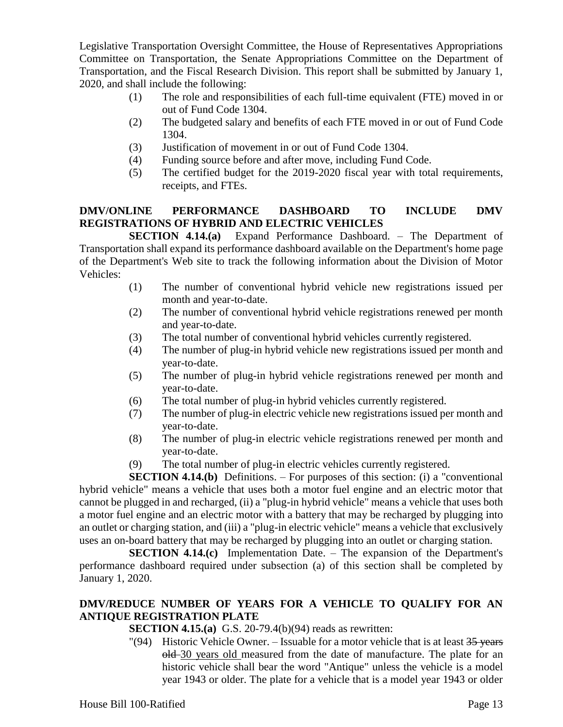Legislative Transportation Oversight Committee, the House of Representatives Appropriations Committee on Transportation, the Senate Appropriations Committee on the Department of Transportation, and the Fiscal Research Division. This report shall be submitted by January 1, 2020, and shall include the following:

- (1) The role and responsibilities of each full-time equivalent (FTE) moved in or out of Fund Code 1304.
- (2) The budgeted salary and benefits of each FTE moved in or out of Fund Code 1304.
- (3) Justification of movement in or out of Fund Code 1304.
- (4) Funding source before and after move, including Fund Code.
- (5) The certified budget for the 2019-2020 fiscal year with total requirements, receipts, and FTEs.

# **DMV/ONLINE PERFORMANCE DASHBOARD TO INCLUDE DMV REGISTRATIONS OF HYBRID AND ELECTRIC VEHICLES**

**SECTION 4.14.(a)** Expand Performance Dashboard. – The Department of Transportation shall expand its performance dashboard available on the Department's home page of the Department's Web site to track the following information about the Division of Motor Vehicles:

- (1) The number of conventional hybrid vehicle new registrations issued per month and year-to-date.
- (2) The number of conventional hybrid vehicle registrations renewed per month and year-to-date.
- (3) The total number of conventional hybrid vehicles currently registered.
- (4) The number of plug-in hybrid vehicle new registrations issued per month and year-to-date.
- (5) The number of plug-in hybrid vehicle registrations renewed per month and year-to-date.
- (6) The total number of plug-in hybrid vehicles currently registered.
- (7) The number of plug-in electric vehicle new registrations issued per month and year-to-date.
- (8) The number of plug-in electric vehicle registrations renewed per month and year-to-date.
- (9) The total number of plug-in electric vehicles currently registered.

**SECTION 4.14.(b)** Definitions. – For purposes of this section: (i) a "conventional hybrid vehicle" means a vehicle that uses both a motor fuel engine and an electric motor that cannot be plugged in and recharged, (ii) a "plug-in hybrid vehicle" means a vehicle that uses both a motor fuel engine and an electric motor with a battery that may be recharged by plugging into an outlet or charging station, and (iii) a "plug-in electric vehicle" means a vehicle that exclusively uses an on-board battery that may be recharged by plugging into an outlet or charging station.

**SECTION 4.14.(c)** Implementation Date. – The expansion of the Department's performance dashboard required under subsection (a) of this section shall be completed by January 1, 2020.

# **DMV/REDUCE NUMBER OF YEARS FOR A VEHICLE TO QUALIFY FOR AN ANTIQUE REGISTRATION PLATE**

**SECTION 4.15.(a)** G.S. 20-79.4(b)(94) reads as rewritten:

"(94) Historic Vehicle Owner. – Issuable for a motor vehicle that is at least  $35$  years old 30 years old measured from the date of manufacture. The plate for an historic vehicle shall bear the word "Antique" unless the vehicle is a model year 1943 or older. The plate for a vehicle that is a model year 1943 or older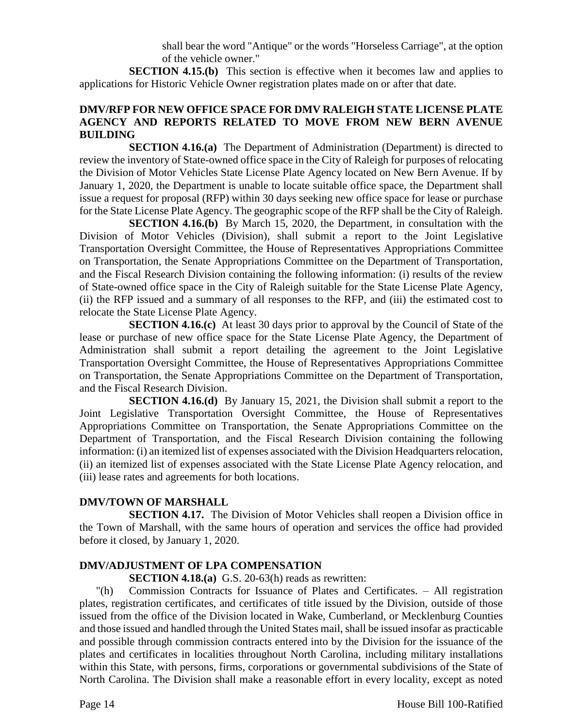shall bear the word "Antique" or the words "Horseless Carriage", at the option of the vehicle owner."

**SECTION 4.15.(b)** This section is effective when it becomes law and applies to applications for Historic Vehicle Owner registration plates made on or after that date.

#### **DMV/RFP FOR NEW OFFICE SPACE FOR DMV RALEIGH STATE LICENSE PLATE AGENCY AND REPORTS RELATED TO MOVE FROM NEW BERN AVENUE BUILDING**

**SECTION 4.16.(a)** The Department of Administration (Department) is directed to review the inventory of State-owned office space in the City of Raleigh for purposes of relocating the Division of Motor Vehicles State License Plate Agency located on New Bern Avenue. If by January 1, 2020, the Department is unable to locate suitable office space, the Department shall issue a request for proposal (RFP) within 30 days seeking new office space for lease or purchase for the State License Plate Agency. The geographic scope of the RFP shall be the City of Raleigh.

**SECTION 4.16.(b)** By March 15, 2020, the Department, in consultation with the Division of Motor Vehicles (Division), shall submit a report to the Joint Legislative Transportation Oversight Committee, the House of Representatives Appropriations Committee on Transportation, the Senate Appropriations Committee on the Department of Transportation, and the Fiscal Research Division containing the following information: (i) results of the review of State-owned office space in the City of Raleigh suitable for the State License Plate Agency, (ii) the RFP issued and a summary of all responses to the RFP, and (iii) the estimated cost to relocate the State License Plate Agency.

**SECTION 4.16.(c)** At least 30 days prior to approval by the Council of State of the lease or purchase of new office space for the State License Plate Agency, the Department of Administration shall submit a report detailing the agreement to the Joint Legislative Transportation Oversight Committee, the House of Representatives Appropriations Committee on Transportation, the Senate Appropriations Committee on the Department of Transportation, and the Fiscal Research Division.

**SECTION 4.16.(d)** By January 15, 2021, the Division shall submit a report to the Joint Legislative Transportation Oversight Committee, the House of Representatives Appropriations Committee on Transportation, the Senate Appropriations Committee on the Department of Transportation, and the Fiscal Research Division containing the following information: (i) an itemized list of expenses associated with the Division Headquarters relocation, (ii) an itemized list of expenses associated with the State License Plate Agency relocation, and (iii) lease rates and agreements for both locations.

## **DMV/TOWN OF MARSHALL**

**SECTION 4.17.** The Division of Motor Vehicles shall reopen a Division office in the Town of Marshall, with the same hours of operation and services the office had provided before it closed, by January 1, 2020.

# **DMV/ADJUSTMENT OF LPA COMPENSATION**

**SECTION 4.18.(a)** G.S. 20-63(h) reads as rewritten:

"(h) Commission Contracts for Issuance of Plates and Certificates. – All registration plates, registration certificates, and certificates of title issued by the Division, outside of those issued from the office of the Division located in Wake, Cumberland, or Mecklenburg Counties and those issued and handled through the United States mail, shall be issued insofar as practicable and possible through commission contracts entered into by the Division for the issuance of the plates and certificates in localities throughout North Carolina, including military installations within this State, with persons, firms, corporations or governmental subdivisions of the State of North Carolina. The Division shall make a reasonable effort in every locality, except as noted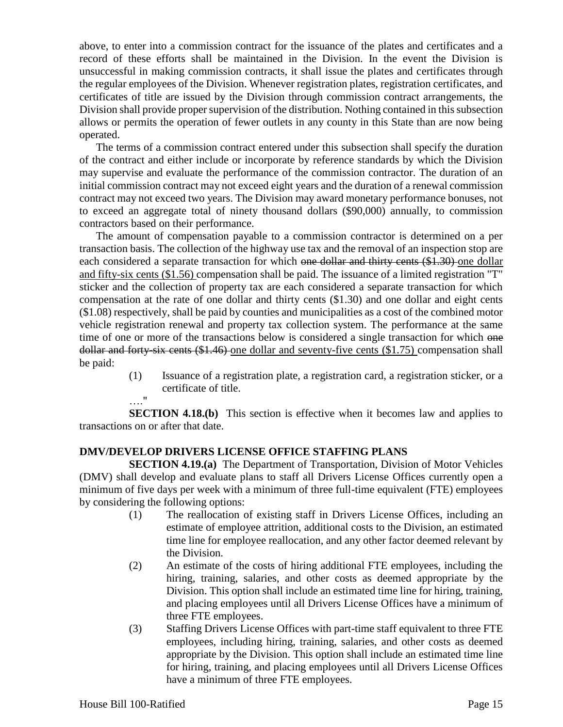above, to enter into a commission contract for the issuance of the plates and certificates and a record of these efforts shall be maintained in the Division. In the event the Division is unsuccessful in making commission contracts, it shall issue the plates and certificates through the regular employees of the Division. Whenever registration plates, registration certificates, and certificates of title are issued by the Division through commission contract arrangements, the Division shall provide proper supervision of the distribution. Nothing contained in this subsection allows or permits the operation of fewer outlets in any county in this State than are now being operated.

The terms of a commission contract entered under this subsection shall specify the duration of the contract and either include or incorporate by reference standards by which the Division may supervise and evaluate the performance of the commission contractor. The duration of an initial commission contract may not exceed eight years and the duration of a renewal commission contract may not exceed two years. The Division may award monetary performance bonuses, not to exceed an aggregate total of ninety thousand dollars (\$90,000) annually, to commission contractors based on their performance.

The amount of compensation payable to a commission contractor is determined on a per transaction basis. The collection of the highway use tax and the removal of an inspection stop are each considered a separate transaction for which one dollar and thirty cents (\$1.30) one dollar and fifty-six cents (\$1.56) compensation shall be paid. The issuance of a limited registration "T" sticker and the collection of property tax are each considered a separate transaction for which compensation at the rate of one dollar and thirty cents (\$1.30) and one dollar and eight cents (\$1.08) respectively, shall be paid by counties and municipalities as a cost of the combined motor vehicle registration renewal and property tax collection system. The performance at the same time of one or more of the transactions below is considered a single transaction for which one dollar and forty-six cents (\$1.46) one dollar and seventy-five cents (\$1.75) compensation shall be paid:

- (1) Issuance of a registration plate, a registration card, a registration sticker, or a certificate of title.
- …."

**SECTION 4.18.(b)** This section is effective when it becomes law and applies to transactions on or after that date.

# **DMV/DEVELOP DRIVERS LICENSE OFFICE STAFFING PLANS**

**SECTION 4.19.(a)** The Department of Transportation, Division of Motor Vehicles (DMV) shall develop and evaluate plans to staff all Drivers License Offices currently open a minimum of five days per week with a minimum of three full-time equivalent (FTE) employees by considering the following options:

- (1) The reallocation of existing staff in Drivers License Offices, including an estimate of employee attrition, additional costs to the Division, an estimated time line for employee reallocation, and any other factor deemed relevant by the Division.
- (2) An estimate of the costs of hiring additional FTE employees, including the hiring, training, salaries, and other costs as deemed appropriate by the Division. This option shall include an estimated time line for hiring, training, and placing employees until all Drivers License Offices have a minimum of three FTE employees.
- (3) Staffing Drivers License Offices with part-time staff equivalent to three FTE employees, including hiring, training, salaries, and other costs as deemed appropriate by the Division. This option shall include an estimated time line for hiring, training, and placing employees until all Drivers License Offices have a minimum of three FTE employees.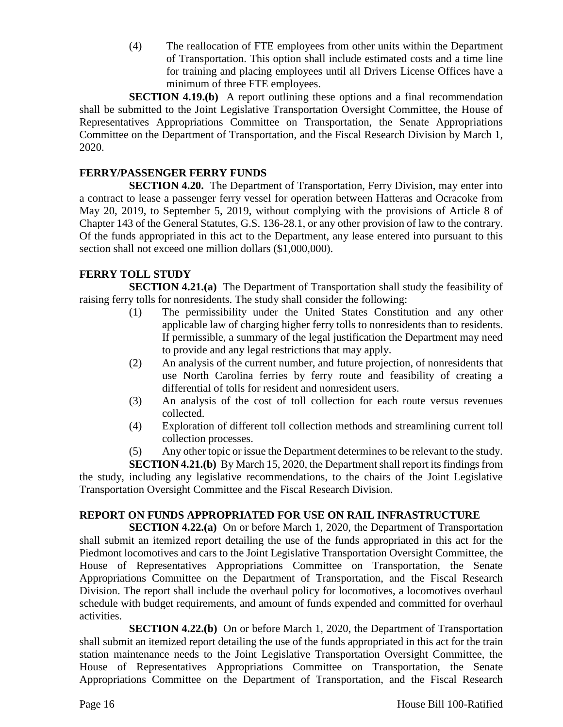(4) The reallocation of FTE employees from other units within the Department of Transportation. This option shall include estimated costs and a time line for training and placing employees until all Drivers License Offices have a minimum of three FTE employees.

**SECTION 4.19.(b)** A report outlining these options and a final recommendation shall be submitted to the Joint Legislative Transportation Oversight Committee, the House of Representatives Appropriations Committee on Transportation, the Senate Appropriations Committee on the Department of Transportation, and the Fiscal Research Division by March 1, 2020.

## **FERRY/PASSENGER FERRY FUNDS**

**SECTION 4.20.** The Department of Transportation, Ferry Division, may enter into a contract to lease a passenger ferry vessel for operation between Hatteras and Ocracoke from May 20, 2019, to September 5, 2019, without complying with the provisions of Article 8 of Chapter 143 of the General Statutes, G.S. 136-28.1, or any other provision of law to the contrary. Of the funds appropriated in this act to the Department, any lease entered into pursuant to this section shall not exceed one million dollars (\$1,000,000).

## **FERRY TOLL STUDY**

**SECTION 4.21.(a)** The Department of Transportation shall study the feasibility of raising ferry tolls for nonresidents. The study shall consider the following:

- (1) The permissibility under the United States Constitution and any other applicable law of charging higher ferry tolls to nonresidents than to residents. If permissible, a summary of the legal justification the Department may need to provide and any legal restrictions that may apply.
- (2) An analysis of the current number, and future projection, of nonresidents that use North Carolina ferries by ferry route and feasibility of creating a differential of tolls for resident and nonresident users.
- (3) An analysis of the cost of toll collection for each route versus revenues collected.
- (4) Exploration of different toll collection methods and streamlining current toll collection processes.

(5) Any other topic or issue the Department determines to be relevant to the study. **SECTION 4.21.(b)** By March 15, 2020, the Department shall report its findings from the study, including any legislative recommendations, to the chairs of the Joint Legislative Transportation Oversight Committee and the Fiscal Research Division.

## **REPORT ON FUNDS APPROPRIATED FOR USE ON RAIL INFRASTRUCTURE**

**SECTION 4.22.(a)** On or before March 1, 2020, the Department of Transportation shall submit an itemized report detailing the use of the funds appropriated in this act for the Piedmont locomotives and cars to the Joint Legislative Transportation Oversight Committee, the House of Representatives Appropriations Committee on Transportation, the Senate Appropriations Committee on the Department of Transportation, and the Fiscal Research Division. The report shall include the overhaul policy for locomotives, a locomotives overhaul schedule with budget requirements, and amount of funds expended and committed for overhaul activities.

**SECTION 4.22.(b)** On or before March 1, 2020, the Department of Transportation shall submit an itemized report detailing the use of the funds appropriated in this act for the train station maintenance needs to the Joint Legislative Transportation Oversight Committee, the House of Representatives Appropriations Committee on Transportation, the Senate Appropriations Committee on the Department of Transportation, and the Fiscal Research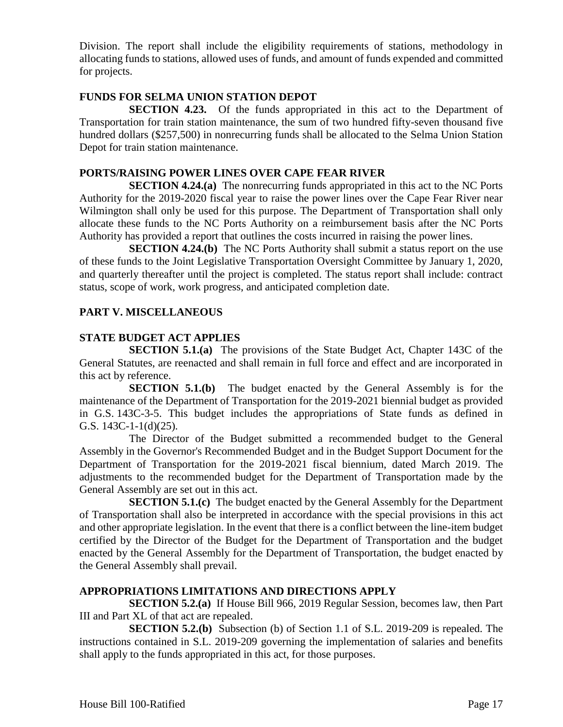Division. The report shall include the eligibility requirements of stations, methodology in allocating funds to stations, allowed uses of funds, and amount of funds expended and committed for projects.

## **FUNDS FOR SELMA UNION STATION DEPOT**

**SECTION 4.23.** Of the funds appropriated in this act to the Department of Transportation for train station maintenance, the sum of two hundred fifty-seven thousand five hundred dollars (\$257,500) in nonrecurring funds shall be allocated to the Selma Union Station Depot for train station maintenance.

#### **PORTS/RAISING POWER LINES OVER CAPE FEAR RIVER**

**SECTION 4.24.(a)** The nonrecurring funds appropriated in this act to the NC Ports Authority for the 2019-2020 fiscal year to raise the power lines over the Cape Fear River near Wilmington shall only be used for this purpose. The Department of Transportation shall only allocate these funds to the NC Ports Authority on a reimbursement basis after the NC Ports Authority has provided a report that outlines the costs incurred in raising the power lines.

**SECTION 4.24.(b)** The NC Ports Authority shall submit a status report on the use of these funds to the Joint Legislative Transportation Oversight Committee by January 1, 2020, and quarterly thereafter until the project is completed. The status report shall include: contract status, scope of work, work progress, and anticipated completion date.

## **PART V. MISCELLANEOUS**

## **STATE BUDGET ACT APPLIES**

**SECTION 5.1.(a)** The provisions of the State Budget Act, Chapter 143C of the General Statutes, are reenacted and shall remain in full force and effect and are incorporated in this act by reference.

**SECTION 5.1.(b)** The budget enacted by the General Assembly is for the maintenance of the Department of Transportation for the 2019-2021 biennial budget as provided in G.S. 143C-3-5. This budget includes the appropriations of State funds as defined in G.S. 143C-1-1(d)(25).

The Director of the Budget submitted a recommended budget to the General Assembly in the Governor's Recommended Budget and in the Budget Support Document for the Department of Transportation for the 2019-2021 fiscal biennium, dated March 2019. The adjustments to the recommended budget for the Department of Transportation made by the General Assembly are set out in this act.

**SECTION 5.1.(c)** The budget enacted by the General Assembly for the Department of Transportation shall also be interpreted in accordance with the special provisions in this act and other appropriate legislation. In the event that there is a conflict between the line-item budget certified by the Director of the Budget for the Department of Transportation and the budget enacted by the General Assembly for the Department of Transportation, the budget enacted by the General Assembly shall prevail.

#### **APPROPRIATIONS LIMITATIONS AND DIRECTIONS APPLY**

**SECTION 5.2.(a)** If House Bill 966, 2019 Regular Session, becomes law, then Part III and Part XL of that act are repealed.

**SECTION 5.2.(b)** Subsection (b) of Section 1.1 of S.L. 2019-209 is repealed. The instructions contained in S.L. 2019-209 governing the implementation of salaries and benefits shall apply to the funds appropriated in this act, for those purposes.